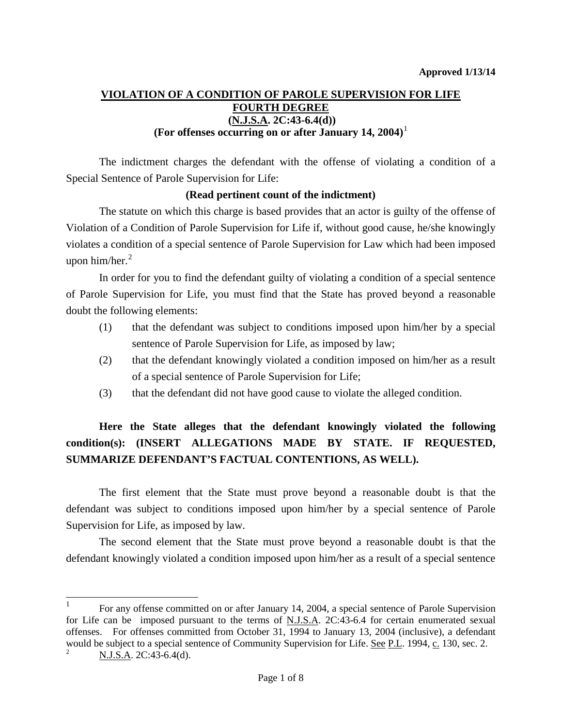### **VIOLATION OF A CONDITION OF PAROLE SUPERVISION FOR LIFE FOURTH DEGREE (N.J.S.A. 2C:43-6.4(d)) (For offenses occurring on or after January [1](#page-7-0)4, 2004)**<sup>1</sup>

The indictment charges the defendant with the offense of violating a condition of a Special Sentence of Parole Supervision for Life:

### **(Read pertinent count of the indictment)**

The statute on which this charge is based provides that an actor is guilty of the offense of Violation of a Condition of Parole Supervision for Life if, without good cause, he/she knowingly violates a condition of a special sentence of Parole Supervision for Law which had been imposed upon him/her. [2](#page-0-0)

In order for you to find the defendant guilty of violating a condition of a special sentence of Parole Supervision for Life, you must find that the State has proved beyond a reasonable doubt the following elements:

- (1) that the defendant was subject to conditions imposed upon him/her by a special sentence of Parole Supervision for Life, as imposed by law;
- (2) that the defendant knowingly violated a condition imposed on him/her as a result of a special sentence of Parole Supervision for Life;
- (3) that the defendant did not have good cause to violate the alleged condition.

# **Here the State alleges that the defendant knowingly violated the following condition(s): (INSERT ALLEGATIONS MADE BY STATE. IF REQUESTED, SUMMARIZE DEFENDANT'S FACTUAL CONTENTIONS, AS WELL).**

<span id="page-0-1"></span>The first element that the State must prove beyond a reasonable doubt is that the defendant was subject to conditions imposed upon him/her by a special sentence of Parole Supervision for Life, as imposed by law.

The second element that the State must prove beyond a reasonable doubt is that the defendant knowingly violated a condition imposed upon him/her as a result of a special sentence

 <sup>1</sup> For any offense committed on or after January 14, 2004, a special sentence of Parole Supervision for Life can be imposed pursuant to the terms of N.J.S.A. 2C:43-6.4 for certain enumerated sexual offenses. For offenses committed from October 31, 1994 to January 13, 2004 (inclusive), a defendant would be subject to a special sentence of Community Supervision for Life. See P.L. 1994, c. 130, sec. 2.

<span id="page-0-0"></span><sup>2</sup> N.J.S.A. 2C:43-6.4(d).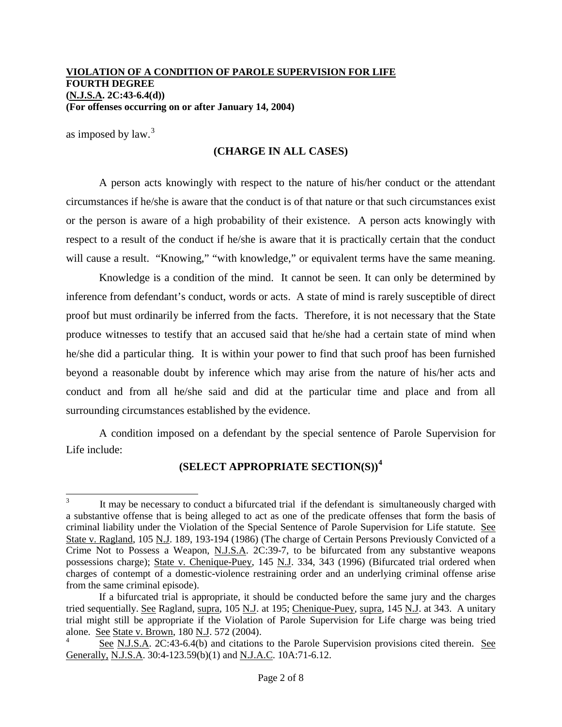as imposed by law.<sup>[3](#page-0-1)</sup>

### **(CHARGE IN ALL CASES)**

A person acts knowingly with respect to the nature of his/her conduct or the attendant circumstances if he/she is aware that the conduct is of that nature or that such circumstances exist or the person is aware of a high probability of their existence. A person acts knowingly with respect to a result of the conduct if he/she is aware that it is practically certain that the conduct will cause a result. "Knowing," "with knowledge," or equivalent terms have the same meaning.

Knowledge is a condition of the mind. It cannot be seen. It can only be determined by inference from defendant's conduct, words or acts. A state of mind is rarely susceptible of direct proof but must ordinarily be inferred from the facts. Therefore, it is not necessary that the State produce witnesses to testify that an accused said that he/she had a certain state of mind when he/she did a particular thing. It is within your power to find that such proof has been furnished beyond a reasonable doubt by inference which may arise from the nature of his/her acts and conduct and from all he/she said and did at the particular time and place and from all surrounding circumstances established by the evidence.

A condition imposed on a defendant by the special sentence of Parole Supervision for Life include:

# **(SELECT APPROPRIATE SECTION(S))[4](#page-1-0)**

It may be necessary to conduct a bifurcated trial if the defendant is simultaneously charged with a substantive offense that is being alleged to act as one of the predicate offenses that form the basis of criminal liability under the Violation of the Special Sentence of Parole Supervision for Life statute. See State v. Ragland, 105 N.J. 189, 193-194 (1986) (The charge of Certain Persons Previously Convicted of a Crime Not to Possess a Weapon, N.J.S.A. 2C:39-7, to be bifurcated from any substantive weapons possessions charge); State v. Chenique-Puey, 145 N.J. 334, 343 (1996) (Bifurcated trial ordered when charges of contempt of a domestic-violence restraining order and an underlying criminal offense arise from the same criminal episode).

<span id="page-1-1"></span>If a bifurcated trial is appropriate, it should be conducted before the same jury and the charges tried sequentially. See Ragland, supra, 105 N.J. at 195; Chenique-Puey, supra, 145 N.J. at 343. A unitary trial might still be appropriate if the Violation of Parole Supervision for Life charge was being tried alone. See State v. Brown, 180 N.J. 572 (2004).

<span id="page-1-0"></span>See N.J.S.A. 2C:43-6.4(b) and citations to the Parole Supervision provisions cited therein. See Generally, N.J.S.A. 30:4-123.59(b)(1) and N.J.A.C. 10A:71-6.12.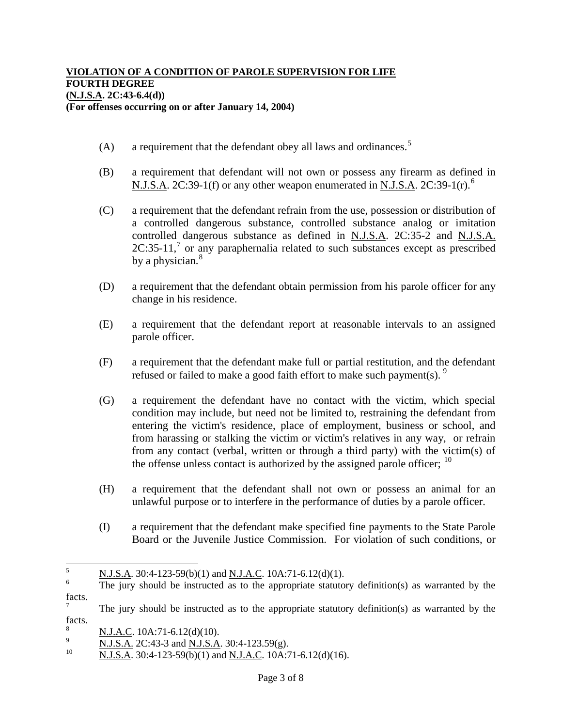- $(A)$  a requirement that the defendant obey all laws and ordinances.<sup>[5](#page-1-1)</sup>
- (B) a requirement that defendant will not own or possess any firearm as defined in N.J.S.A. 2C:39-1(f) or any other weapon enumerated in N.J.S.A. 2C:39-1(r).<sup>[6](#page-2-0)</sup>
- (C) a requirement that the defendant refrain from the use, possession or distribution of a controlled dangerous substance, controlled substance analog or imitation controlled dangerous substance as defined in N.J.S.A. 2C:35-2 and N.J.S.A. 2C:35-11,<sup>[7](#page-2-1)</sup> or any paraphernalia related to such substances except as prescribed by a physician.<sup>[8](#page-2-2)</sup>
- (D) a requirement that the defendant obtain permission from his parole officer for any change in his residence.
- (E) a requirement that the defendant report at reasonable intervals to an assigned parole officer.
- (F) a requirement that the defendant make full or partial restitution, and the defendant refused or failed to make a good faith effort to make such payment(s).  $9$
- (G) a requirement the defendant have no contact with the victim, which special condition may include, but need not be limited to, restraining the defendant from entering the victim's residence, place of employment, business or school, and from harassing or stalking the victim or victim's relatives in any way, or refrain from any contact (verbal, written or through a third party) with the victim(s) of the offense unless contact is authorized by the assigned parole officer;  $10$
- (H) a requirement that the defendant shall not own or possess an animal for an unlawful purpose or to interfere in the performance of duties by a parole officer.
- (I) a requirement that the defendant make specified fine payments to the State Parole Board or the Juvenile Justice Commission. For violation of such conditions, or

 $\frac{5}{100}$  N.J.S.A. 30:4-123-59(b)(1) and <u>N.J.A.C.</u> 10A:71-6.12(d)(1).

<span id="page-2-0"></span>The jury should be instructed as to the appropriate statutory definition(s) as warranted by the facts.

<span id="page-2-1"></span><sup>7</sup> The jury should be instructed as to the appropriate statutory definition(s) as warranted by the facts.

<span id="page-2-2"></span> $\frac{N \text{ J.A.C.}}{N \text{ K.}}$  10A:71-6.12(d)(10).

<span id="page-2-3"></span> $\frac{10}{10}$  N.J.S.A. 2C:43-3 and N.J.S.A. 30:4-123.59(g).

<span id="page-2-4"></span>N.J.S.A. 30:4-123-59(b)(1) and N.J.A.C. 10A:71-6.12(d)(16).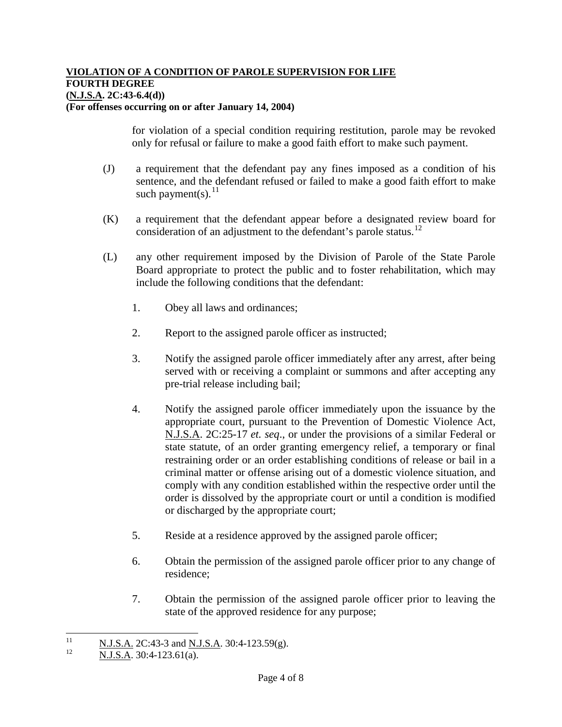for violation of a special condition requiring restitution, parole may be revoked only for refusal or failure to make a good faith effort to make such payment.

- (J) a requirement that the defendant pay any fines imposed as a condition of his sentence, and the defendant refused or failed to make a good faith effort to make such payment(s).  $^{11}$  $^{11}$  $^{11}$
- (K) a requirement that the defendant appear before a designated review board for consideration of an adjustment to the defendant's parole status.<sup>[12](#page-3-0)</sup>
- (L) any other requirement imposed by the Division of Parole of the State Parole Board appropriate to protect the public and to foster rehabilitation, which may include the following conditions that the defendant:
	- 1. Obey all laws and ordinances;
	- 2. Report to the assigned parole officer as instructed;
	- 3. Notify the assigned parole officer immediately after any arrest, after being served with or receiving a complaint or summons and after accepting any pre-trial release including bail;
	- 4. Notify the assigned parole officer immediately upon the issuance by the appropriate court, pursuant to the Prevention of Domestic Violence Act, N.J.S.A. 2C:25-17 *et. seq*., or under the provisions of a similar Federal or state statute, of an order granting emergency relief, a temporary or final restraining order or an order establishing conditions of release or bail in a criminal matter or offense arising out of a domestic violence situation, and comply with any condition established within the respective order until the order is dissolved by the appropriate court or until a condition is modified or discharged by the appropriate court;
	- 5. Reside at a residence approved by the assigned parole officer;
	- 6. Obtain the permission of the assigned parole officer prior to any change of residence;
	- 7. Obtain the permission of the assigned parole officer prior to leaving the state of the approved residence for any purpose;

<span id="page-3-0"></span> $\frac{11}{12}$  N.J.S.A. 2C:43-3 and N.J.S.A. 30:4-123.59(g).

<sup>12</sup> N.J.S.A. 30:4-123.61(a).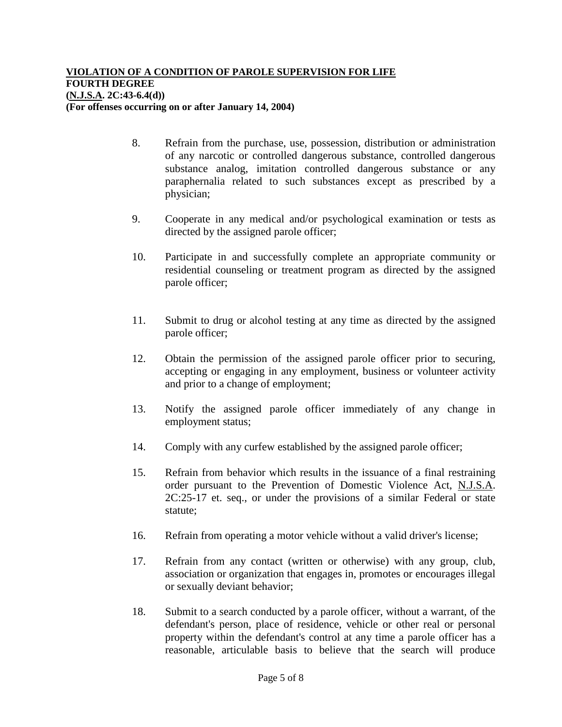- 8. Refrain from the purchase, use, possession, distribution or administration of any narcotic or controlled dangerous substance, controlled dangerous substance analog, imitation controlled dangerous substance or any paraphernalia related to such substances except as prescribed by a physician;
- 9. Cooperate in any medical and/or psychological examination or tests as directed by the assigned parole officer;
- 10. Participate in and successfully complete an appropriate community or residential counseling or treatment program as directed by the assigned parole officer;
- 11. Submit to drug or alcohol testing at any time as directed by the assigned parole officer;
- 12. Obtain the permission of the assigned parole officer prior to securing, accepting or engaging in any employment, business or volunteer activity and prior to a change of employment;
- 13. Notify the assigned parole officer immediately of any change in employment status;
- 14. Comply with any curfew established by the assigned parole officer;
- 15. Refrain from behavior which results in the issuance of a final restraining order pursuant to the Prevention of Domestic Violence Act, N.J.S.A. 2C:25-17 et. seq., or under the provisions of a similar Federal or state statute;
- 16. Refrain from operating a motor vehicle without a valid driver's license;
- 17. Refrain from any contact (written or otherwise) with any group, club, association or organization that engages in, promotes or encourages illegal or sexually deviant behavior;
- 18. Submit to a search conducted by a parole officer, without a warrant, of the defendant's person, place of residence, vehicle or other real or personal property within the defendant's control at any time a parole officer has a reasonable, articulable basis to believe that the search will produce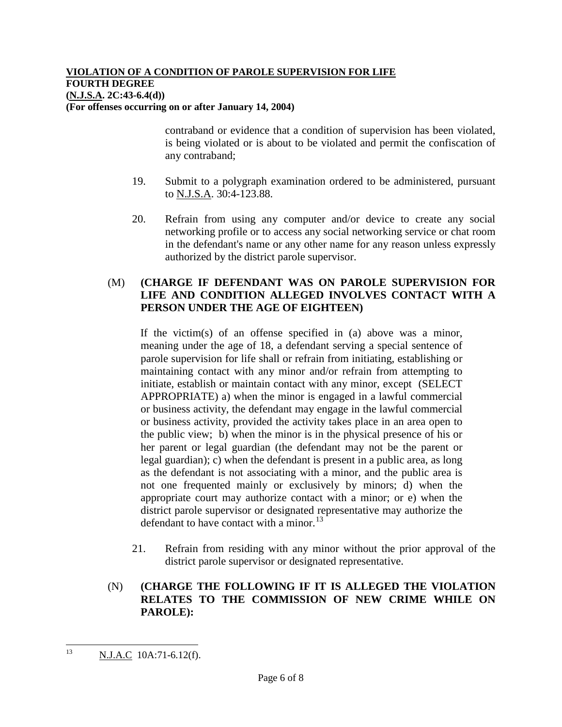contraband or evidence that a condition of supervision has been violated, is being violated or is about to be violated and permit the confiscation of any contraband;

- 19. Submit to a polygraph examination ordered to be administered, pursuant to N.J.S.A. 30:4-123.88.
- 20. Refrain from using any computer and/or device to create any social networking profile or to access any social networking service or chat room in the defendant's name or any other name for any reason unless expressly authorized by the district parole supervisor.

### (M) **(CHARGE IF DEFENDANT WAS ON PAROLE SUPERVISION FOR LIFE AND CONDITION ALLEGED INVOLVES CONTACT WITH A PERSON UNDER THE AGE OF EIGHTEEN)**

If the victim(s) of an offense specified in (a) above was a minor, meaning under the age of 18, a defendant serving a special sentence of parole supervision for life shall or refrain from initiating, establishing or maintaining contact with any minor and/or refrain from attempting to initiate, establish or maintain contact with any minor, except (SELECT APPROPRIATE) a) when the minor is engaged in a lawful commercial or business activity, the defendant may engage in the lawful commercial or business activity, provided the activity takes place in an area open to the public view; b) when the minor is in the physical presence of his or her parent or legal guardian (the defendant may not be the parent or legal guardian); c) when the defendant is present in a public area, as long as the defendant is not associating with a minor, and the public area is not one frequented mainly or exclusively by minors; d) when the appropriate court may authorize contact with a minor; or e) when the district parole supervisor or designated representative may authorize the defendant to have contact with a minor.<sup>[13](#page-3-0)</sup>

21. Refrain from residing with any minor without the prior approval of the district parole supervisor or designated representative.

# (N) **(CHARGE THE FOLLOWING IF IT IS ALLEGED THE VIOLATION RELATES TO THE COMMISSION OF NEW CRIME WHILE ON PAROLE):**

<span id="page-5-0"></span><sup>&</sup>lt;sup>13</sup> N.J.A.C 10A:71-6.12(f).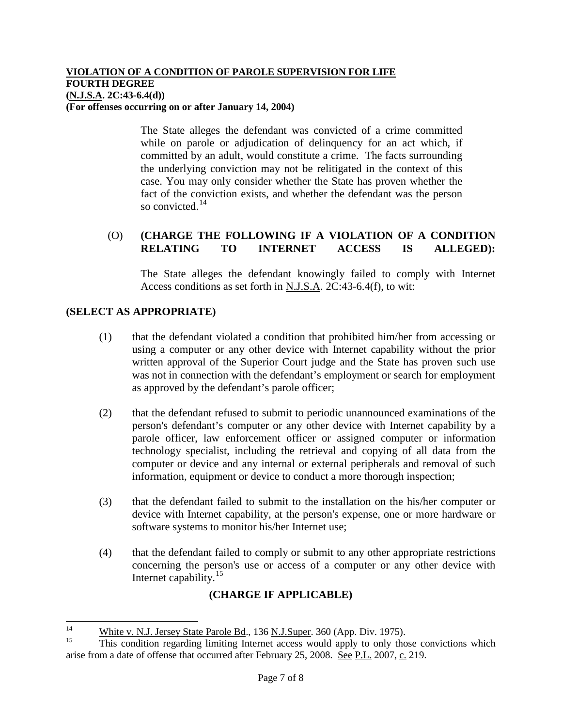The State alleges the defendant was convicted of a crime committed while on parole or adjudication of delinquency for an act which, if committed by an adult, would constitute a crime. The facts surrounding the underlying conviction may not be relitigated in the context of this case. You may only consider whether the State has proven whether the fact of the conviction exists, and whether the defendant was the person so convicted.<sup>[14](#page-5-0)</sup>

# (O) **(CHARGE THE FOLLOWING IF A VIOLATION OF A CONDITION RELATING TO INTERNET ACCESS IS ALLEGED):**

The State alleges the defendant knowingly failed to comply with Internet Access conditions as set forth in N.J.S.A. 2C:43-6.4(f), to wit:

# **(SELECT AS APPROPRIATE)**

- (1) that the defendant violated a condition that prohibited him/her from accessing or using a computer or any other device with Internet capability without the prior written approval of the Superior Court judge and the State has proven such use was not in connection with the defendant's employment or search for employment as approved by the defendant's parole officer;
- (2) that the defendant refused to submit to periodic unannounced examinations of the person's defendant's computer or any other device with Internet capability by a parole officer, law enforcement officer or assigned computer or information technology specialist, including the retrieval and copying of all data from the computer or device and any internal or external peripherals and removal of such information, equipment or device to conduct a more thorough inspection;
- <span id="page-6-1"></span>(3) that the defendant failed to submit to the installation on the his/her computer or device with Internet capability, at the person's expense, one or more hardware or software systems to monitor his/her Internet use;
- (4) that the defendant failed to comply or submit to any other appropriate restrictions concerning the person's use or access of a computer or any other device with Internet capability. $15$

# **(CHARGE IF APPLICABLE)**

<sup>&</sup>lt;sup>14</sup> White v. N.J. Jersey State Parole Bd., 136 N.J.Super. 360 (App. Div. 1975).

<span id="page-6-0"></span><sup>15</sup> This condition regarding limiting Internet access would apply to only those convictions which arise from a date of offense that occurred after February 25, 2008. See P.L. 2007, c. 219.